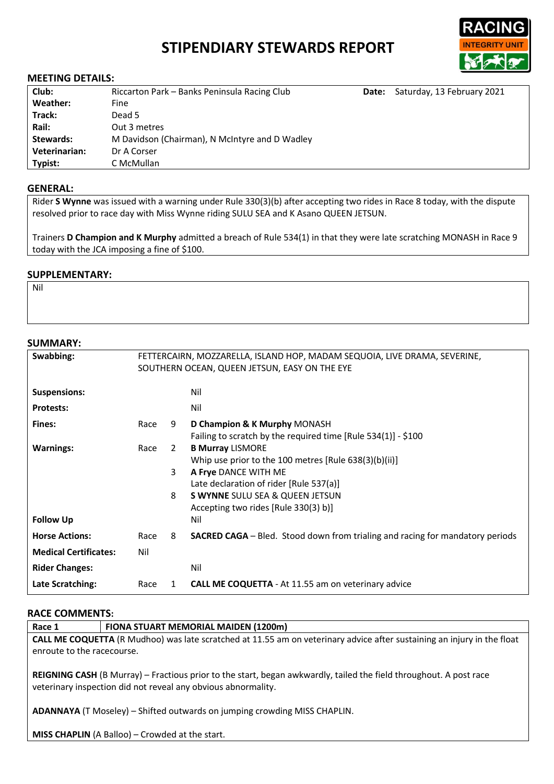# **STIPENDIARY STEWARDS REPORT**



### **MEETING DETAILS:**

| Club:         | Riccarton Park - Banks Peninsula Racing Club   | Date: | Saturday, 13 February 2021 |
|---------------|------------------------------------------------|-------|----------------------------|
| Weather:      | Fine                                           |       |                            |
| Track:        | Dead 5                                         |       |                            |
| Rail:         | Out 3 metres                                   |       |                            |
| Stewards:     | M Davidson (Chairman), N McIntyre and D Wadley |       |                            |
| Veterinarian: | Dr A Corser                                    |       |                            |
| Typist:       | C McMullan                                     |       |                            |

### **GENERAL:**

Rider **S Wynne** was issued with a warning under Rule 330(3)(b) after accepting two rides in Race 8 today, with the dispute resolved prior to race day with Miss Wynne riding SULU SEA and K Asano QUEEN JETSUN.

Trainers **D Champion and K Murphy** admitted a breach of Rule 534(1) in that they were late scratching MONASH in Race 9 today with the JCA imposing a fine of \$100.

# **SUPPLEMENTARY:**

Nil

## **SUMMARY:**

| Swabbing:                    | FETTERCAIRN, MOZZARELLA, ISLAND HOP, MADAM SEQUOIA, LIVE DRAMA, SEVERINE,<br>SOUTHERN OCEAN, QUEEN JETSUN, EASY ON THE EYE |             |                                                                                                                                                                                                                                           |
|------------------------------|----------------------------------------------------------------------------------------------------------------------------|-------------|-------------------------------------------------------------------------------------------------------------------------------------------------------------------------------------------------------------------------------------------|
| <b>Suspensions:</b>          |                                                                                                                            |             | Nil                                                                                                                                                                                                                                       |
| <b>Protests:</b>             |                                                                                                                            |             | Nil                                                                                                                                                                                                                                       |
| Fines:                       | Race                                                                                                                       | 9           | D Champion & K Murphy MONASH<br>Failing to scratch by the required time $[Rule 534(1)] - $100$                                                                                                                                            |
| <b>Warnings:</b>             | Race                                                                                                                       | 2<br>3<br>8 | <b>B Murray LISMORE</b><br>Whip use prior to the 100 metres [Rule 638(3)(b)(ii)]<br>A Frye DANCE WITH ME<br>Late declaration of rider [Rule 537(a)]<br><b>S WYNNE SULU SEA &amp; QUEEN JETSUN</b><br>Accepting two rides [Rule 330(3) b)] |
| <b>Follow Up</b>             |                                                                                                                            |             | Nil                                                                                                                                                                                                                                       |
| <b>Horse Actions:</b>        | Race                                                                                                                       | 8           | <b>SACRED CAGA</b> – Bled. Stood down from trialing and racing for mandatory periods                                                                                                                                                      |
| <b>Medical Certificates:</b> | Nil                                                                                                                        |             |                                                                                                                                                                                                                                           |
| <b>Rider Changes:</b>        |                                                                                                                            |             | Nil                                                                                                                                                                                                                                       |
| Late Scratching:             | Race                                                                                                                       | 1           | <b>CALL ME COQUETTA</b> - At 11.55 am on veterinary advice                                                                                                                                                                                |

## **RACE COMMENTS:**

| Race 1                                                                                                                                                                              | FIONA STUART MEMORIAL MAIDEN (1200m) |  |  |
|-------------------------------------------------------------------------------------------------------------------------------------------------------------------------------------|--------------------------------------|--|--|
| CALL ME COQUETTA (R Mudhoo) was late scratched at 11.55 am on veterinary advice after sustaining an injury in the float                                                             |                                      |  |  |
| enroute to the racecourse.                                                                                                                                                          |                                      |  |  |
| REIGNING CASH (B Murray) – Fractious prior to the start, began awkwardly, tailed the field throughout. A post race<br>veterinary inspection did not reveal any obvious abnormality. |                                      |  |  |
| ADANNAYA (T Moseley) - Shifted outwards on jumping crowding MISS CHAPLIN.                                                                                                           |                                      |  |  |
| <b>MISS CHAPLIN</b> (A Balloo) – Crowded at the start.                                                                                                                              |                                      |  |  |
|                                                                                                                                                                                     |                                      |  |  |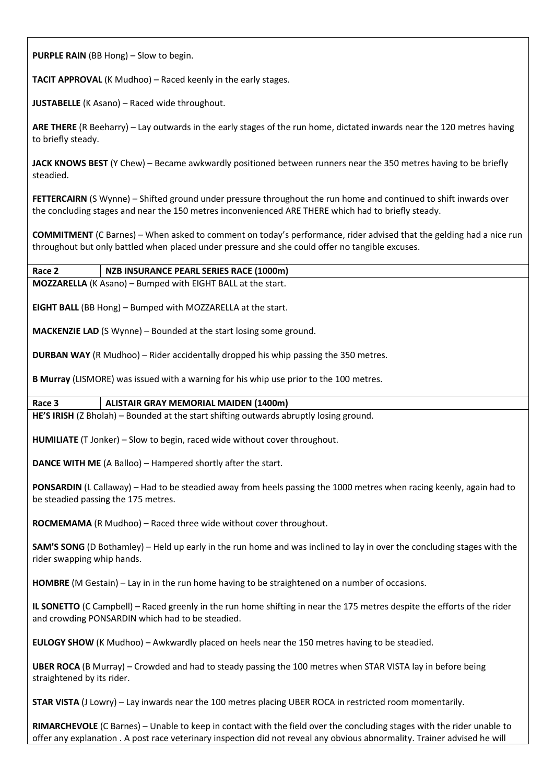**PURPLE RAIN** (BB Hong) – Slow to begin.

**TACIT APPROVAL** (K Mudhoo) – Raced keenly in the early stages.

**JUSTABELLE** (K Asano) – Raced wide throughout.

**ARE THERE** (R Beeharry) – Lay outwards in the early stages of the run home, dictated inwards near the 120 metres having to briefly steady.

**JACK KNOWS BEST** (Y Chew) – Became awkwardly positioned between runners near the 350 metres having to be briefly steadied.

**FETTERCAIRN** (S Wynne) – Shifted ground under pressure throughout the run home and continued to shift inwards over the concluding stages and near the 150 metres inconvenienced ARE THERE which had to briefly steady.

**COMMITMENT** (C Barnes) – When asked to comment on today's performance, rider advised that the gelding had a nice run throughout but only battled when placed under pressure and she could offer no tangible excuses.

# **Race 2 NZB INSURANCE PEARL SERIES RACE (1000m)**

**MOZZARELLA** (K Asano) – Bumped with EIGHT BALL at the start.

**EIGHT BALL** (BB Hong) – Bumped with MOZZARELLA at the start.

**MACKENZIE LAD** (S Wynne) – Bounded at the start losing some ground.

**DURBAN WAY** (R Mudhoo) – Rider accidentally dropped his whip passing the 350 metres.

**B Murray** (LISMORE) was issued with a warning for his whip use prior to the 100 metres.

## **Race 3 ALISTAIR GRAY MEMORIAL MAIDEN (1400m)**

**HE'S IRISH** (Z Bholah) – Bounded at the start shifting outwards abruptly losing ground.

**HUMILIATE** (T Jonker) – Slow to begin, raced wide without cover throughout.

**DANCE WITH ME** (A Balloo) – Hampered shortly after the start.

**PONSARDIN** (L Callaway) – Had to be steadied away from heels passing the 1000 metres when racing keenly, again had to be steadied passing the 175 metres.

**ROCMEMAMA** (R Mudhoo) – Raced three wide without cover throughout.

**SAM'S SONG** (D Bothamley) – Held up early in the run home and was inclined to lay in over the concluding stages with the rider swapping whip hands.

**HOMBRE** (M Gestain) – Lay in in the run home having to be straightened on a number of occasions.

**IL SONETTO** (C Campbell) – Raced greenly in the run home shifting in near the 175 metres despite the efforts of the rider and crowding PONSARDIN which had to be steadied.

**EULOGY SHOW** (K Mudhoo) – Awkwardly placed on heels near the 150 metres having to be steadied.

**UBER ROCA** (B Murray) – Crowded and had to steady passing the 100 metres when STAR VISTA lay in before being straightened by its rider.

**STAR VISTA** (J Lowry) – Lay inwards near the 100 metres placing UBER ROCA in restricted room momentarily.

**RIMARCHEVOLE** (C Barnes) – Unable to keep in contact with the field over the concluding stages with the rider unable to offer any explanation . A post race veterinary inspection did not reveal any obvious abnormality. Trainer advised he will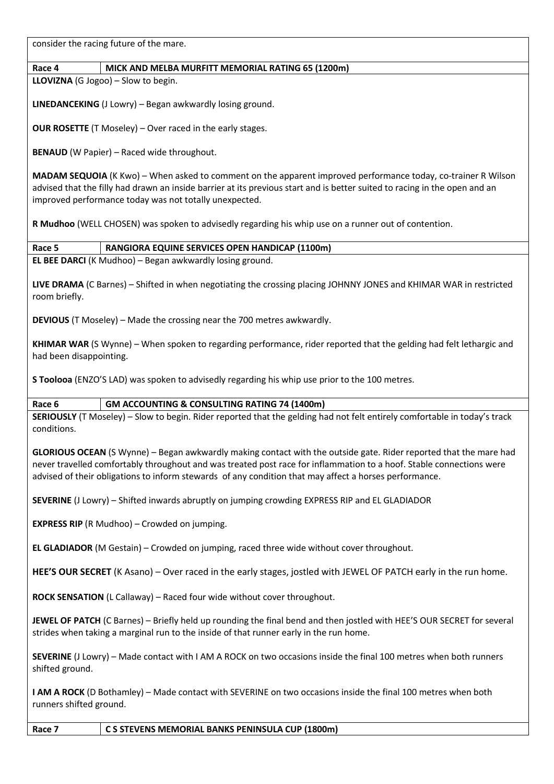consider the racing future of the mare.

## **Race 4 MICK AND MELBA MURFITT MEMORIAL RATING 65 (1200m)**

**LLOVIZNA** (G Jogoo) – Slow to begin.

room briefly.

**LINEDANCEKING** (J Lowry) – Began awkwardly losing ground.

**OUR ROSETTE** (T Moseley) – Over raced in the early stages.

**BENAUD** (W Papier) – Raced wide throughout.

**MADAM SEQUOIA** (K Kwo) – When asked to comment on the apparent improved performance today, co-trainer R Wilson advised that the filly had drawn an inside barrier at its previous start and is better suited to racing in the open and an improved performance today was not totally unexpected.

**R Mudhoo** (WELL CHOSEN) was spoken to advisedly regarding his whip use on a runner out of contention.

| Race 5 | RANGIORA EQUINE SERVICES OPEN HANDICAP (1100m)                  |
|--------|-----------------------------------------------------------------|
|        | <b>EL BEE DARCI</b> (K Mudhoo) – Began awkwardly losing ground. |

**LIVE DRAMA** (C Barnes) – Shifted in when negotiating the crossing placing JOHNNY JONES and KHIMAR WAR in restricted

**DEVIOUS** (T Moseley) – Made the crossing near the 700 metres awkwardly.

**KHIMAR WAR** (S Wynne) – When spoken to regarding performance, rider reported that the gelding had felt lethargic and had been disappointing.

**S Toolooa** (ENZO'S LAD) was spoken to advisedly regarding his whip use prior to the 100 metres.

## **Race 6 GM ACCOUNTING & CONSULTING RATING 74 (1400m)**

**SERIOUSLY** (T Moseley) – Slow to begin. Rider reported that the gelding had not felt entirely comfortable in today's track conditions.

**GLORIOUS OCEAN** (S Wynne) – Began awkwardly making contact with the outside gate. Rider reported that the mare had never travelled comfortably throughout and was treated post race for inflammation to a hoof. Stable connections were advised of their obligations to inform stewards of any condition that may affect a horses performance.

**SEVERINE** (J Lowry) – Shifted inwards abruptly on jumping crowding EXPRESS RIP and EL GLADIADOR

**EXPRESS RIP** (R Mudhoo) – Crowded on jumping.

**EL GLADIADOR** (M Gestain) – Crowded on jumping, raced three wide without cover throughout.

**HEE'S OUR SECRET** (K Asano) – Over raced in the early stages, jostled with JEWEL OF PATCH early in the run home.

**ROCK SENSATION** (L Callaway) – Raced four wide without cover throughout.

**JEWEL OF PATCH** (C Barnes) – Briefly held up rounding the final bend and then jostled with HEE'S OUR SECRET for several strides when taking a marginal run to the inside of that runner early in the run home.

**SEVERINE** (J Lowry) – Made contact with I AM A ROCK on two occasions inside the final 100 metres when both runners shifted ground.

**I AM A ROCK** (D Bothamley) – Made contact with SEVERINE on two occasions inside the final 100 metres when both runners shifted ground.

**Race 7 C S STEVENS MEMORIAL BANKS PENINSULA CUP (1800m)**